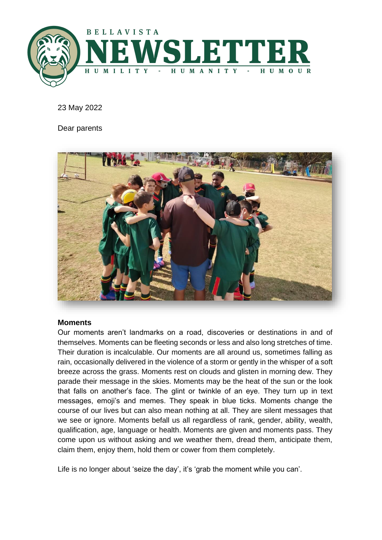

23 May 2022

Dear parents



#### **Moments**

Our moments aren't landmarks on a road, discoveries or destinations in and of themselves. Moments can be fleeting seconds or less and also long stretches of time. Their duration is incalculable. Our moments are all around us, sometimes falling as rain, occasionally delivered in the violence of a storm or gently in the whisper of a soft breeze across the grass. Moments rest on clouds and glisten in morning dew. They parade their message in the skies. Moments may be the heat of the sun or the look that falls on another's face. The glint or twinkle of an eye. They turn up in text messages, emoji's and memes. They speak in blue ticks. Moments change the course of our lives but can also mean nothing at all. They are silent messages that we see or ignore. Moments befall us all regardless of rank, gender, ability, wealth, qualification, age, language or health. Moments are given and moments pass. They come upon us without asking and we weather them, dread them, anticipate them, claim them, enjoy them, hold them or cower from them completely.

Life is no longer about 'seize the day', it's 'grab the moment while you can'.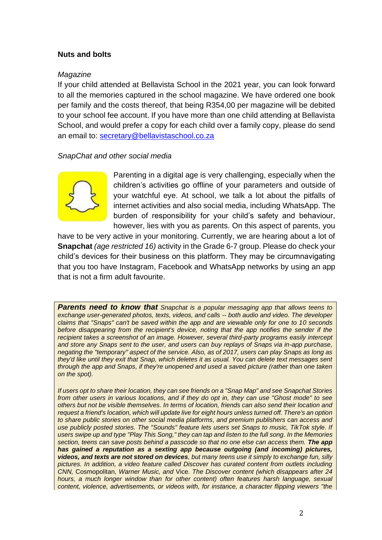## **Nuts and bolts**

### *Magazine*

If your child attended at Bellavista School in the 2021 year, you can look forward to all the memories captured in the school magazine. We have ordered one book per family and the costs thereof, that being R354,00 per magazine will be debited to your school fee account. If you have more than one child attending at Bellavista School, and would prefer a copy for each child over a family copy, please do send an email to: [secretary@bellavistaschool.co.za](mailto:secretary@bellavistaschool.co.za)

### *SnapChat and other social media*



Parenting in a digital age is very challenging, especially when the children's activities go offline of your parameters and outside of your watchful eye. At school, we talk a lot about the pitfalls of internet activities and also social media, including WhatsApp. The burden of responsibility for your child's safety and behaviour, however, lies with you as parents. On this aspect of parents, you

have to be very active in your monitoring. Currently, we are hearing about a lot of **Snapchat** *(age restricted 16)* activity in the Grade 6-7 group. Please do check your child's devices for their business on this platform. They may be circumnavigating that you too have Instagram, Facebook and WhatsApp networks by using an app that is not a firm adult favourite.

*Parents need to know that Snapchat is a popular messaging app that allows teens to exchange user-generated photos, texts, videos, and calls -- both audio and video. The developer claims that "Snaps" can't be saved within the app and are viewable only for one to 10 seconds before disappearing from the recipient's device, noting that the app notifies the sender if the recipient takes a screenshot of an image. However, several third-party programs easily intercept and store any Snaps sent to the user, and users can buy replays of Snaps via in-app purchase, negating the "temporary" aspect of the service. Also, as of 2017, users can play Snaps as long as they'd like until they exit that Snap, which deletes it as usual. You can delete text messages sent through the app and Snaps, if they're unopened and used a saved picture (rather than one taken on the spot).*

*If users opt to share their location, they can see friends on a "Snap Map" and see Snapchat Stories from other users in various locations, and if they do opt in, they can use "Ghost mode" to see others but not be visible themselves. In terms of location, friends can also send their location and request a friend's location, which will update live for eight hours unless turned off. There's an option to share public stories on other social media platforms, and premium publishers can access and use publicly posted stories. The "Sounds" feature lets users set Snaps to music, TikTok style. If users swipe up and type "Play This Song," they can tap and listen to the full song. In the Memories*  section, teens can save posts behind a passcode so that no one else can access them. The app *has gained a reputation as a sexting app because outgoing (and incoming) pictures, videos, and texts are not stored on devices, but many teens use it simply to exchange fun, silly pictures. In addition, a video feature called Discover has curated content from outlets including CNN,* Cosmopolitan*, Warner Music, and* Vice*. The Discover content (which disappears after 24 hours, a much longer window than for other content) often features harsh language, sexual content, violence, advertisements, or videos with, for instance, a character flipping viewers "the*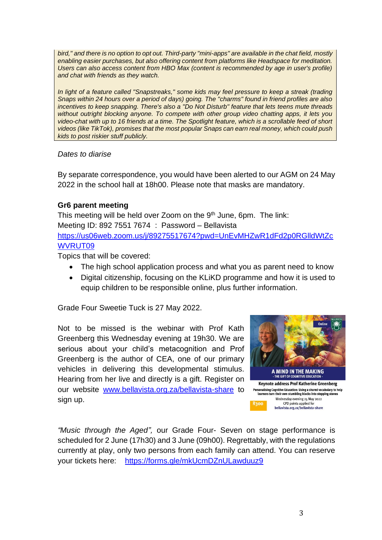*bird," and there is no option to opt out. Third-party "mini-apps" are available in the chat field, mostly enabling easier purchases, but also offering content from platforms like Headspace for meditation. Users can also access content from HBO Max (content is recommended by age in user's profile) and chat with friends as they watch.*

*In light of a feature called "Snapstreaks," some kids may feel pressure to keep a streak (trading Snaps within 24 hours over a period of days) going. The "charms" found in friend profiles are also incentives to keep snapping. There's also a "Do Not Disturb" feature that lets teens mute threads without outright blocking anyone. To compete with other group video chatting apps, it lets you video-chat with up to 16 friends at a time. The Spotlight feature, which is a scrollable feed of short videos (like TikTok), promises that the most popular Snaps can earn real money, which could push kids to post riskier stuff publicly.* 

### *Dates to diarise*

By separate correspondence, you would have been alerted to our AGM on 24 May 2022 in the school hall at 18h00. Please note that masks are mandatory.

# **Gr6 parent meeting**

This meeting will be held over Zoom on the 9<sup>th</sup> June, 6pm. The link: Meeting ID: 892 7551 7674 : Password – Bellavista [https://us06web.zoom.us/j/89275517674?pwd=UnEvMHZwR1dFd2p0RGlldWtZc](https://us06web.zoom.us/j/89275517674?pwd=UnEvMHZwR1dFd2p0RGlldWtZcWVRUT09) [WVRUT09](https://us06web.zoom.us/j/89275517674?pwd=UnEvMHZwR1dFd2p0RGlldWtZcWVRUT09)

Topics that will be covered:

- The high school application process and what you as parent need to know
- Digital citizenship, focusing on the KLiKD programme and how it is used to equip children to be responsible online, plus further information.

Grade Four Sweetie Tuck is 27 May 2022.

Not to be missed is the webinar with Prof Kath Greenberg this Wednesday evening at 19h30. We are serious about your child's metacognition and Prof Greenberg is the author of CEA, one of our primary vehicles in delivering this developmental stimulus. Hearing from her live and directly is a gift. Register on our website [www.bellavista.org.za/bellavista-share](http://www.bellavista.org.za/bellavista-share) to sign up.



*"Music through the Aged",* our Grade Four- Seven on stage performance is scheduled for 2 June (17h30) and 3 June (09h00). Regrettably, with the regulations currently at play, only two persons from each family can attend. You can reserve your tickets here: <https://forms.gle/mkUcmDZnULawduuz9>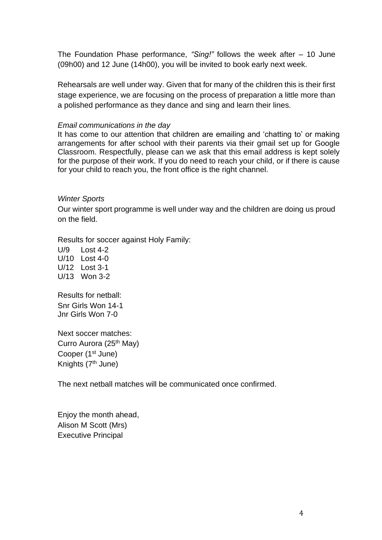The Foundation Phase performance, *"Sing!"* follows the week after – 10 June (09h00) and 12 June (14h00), you will be invited to book early next week.

Rehearsals are well under way. Given that for many of the children this is their first stage experience, we are focusing on the process of preparation a little more than a polished performance as they dance and sing and learn their lines.

### *Email communications in the day*

It has come to our attention that children are emailing and 'chatting to' or making arrangements for after school with their parents via their gmail set up for Google Classroom. Respectfully, please can we ask that this email address is kept solely for the purpose of their work. If you do need to reach your child, or if there is cause for your child to reach you, the front office is the right channel.

#### *Winter Sports*

Our winter sport programme is well under way and the children are doing us proud on the field.

Results for soccer against Holy Family:

U/9 Lost 4-2 U/10 Lost 4-0 U/12 Lost 3-1 U/13 Won 3-2

Results for netball: Snr Girls Won 14-1 Jnr Girls Won 7-0

Next soccer matches: Curro Aurora (25<sup>th</sup> May) Cooper (1<sup>st</sup> June) Knights (7<sup>th</sup> June)

The next netball matches will be communicated once confirmed.

Enjoy the month ahead, Alison M Scott (Mrs) Executive Principal